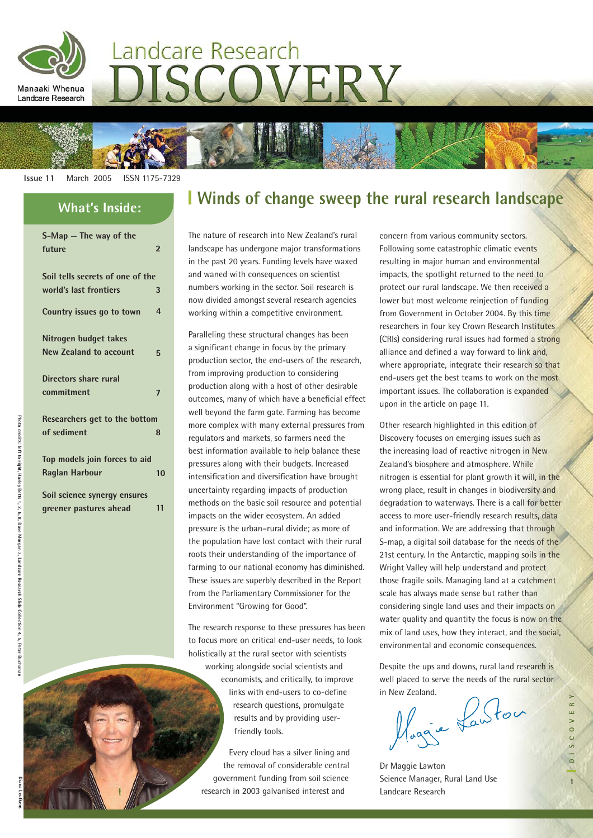

# Landcare Research COVERY

**Issue 11** March 2005 ISSN 1175-7329

| $S-Map$ – The way of the<br>future                     | $\overline{2}$ |  |
|--------------------------------------------------------|----------------|--|
| Soil tells secrets of one of the                       |                |  |
| world's last frontiers                                 | 3              |  |
| Country issues go to town                              | 4              |  |
| Nitrogen budget takes                                  |                |  |
| <b>New Zealand to account</b>                          | 5              |  |
| Directors share rural<br>commitment                    | 7              |  |
| Researchers get to the bottom                          |                |  |
| of sediment                                            | 8              |  |
| Top models join forces to aid<br><b>Raglan Harbour</b> | 10             |  |
| Soil science synergy ensures                           |                |  |
| greener pastures ahead                                 | 11             |  |

## **Winds of change sweep the rural research landscape What's Inside:**

The nature of research into New Zealand's rural landscape has undergone major transformations in the past 20 years. Funding levels have waxed and waned with consequences on scientist numbers working in the sector. Soil research is now divided amongst several research agencies working within a competitive environment.

Paralleling these structural changes has been a significant change in focus by the primary production sector, the end-users of the research, from improving production to considering production along with a host of other desirable outcomes, many of which have a beneficial effect well beyond the farm gate. Farming has become more complex with many external pressures from regulators and markets, so farmers need the best information available to help balance these pressures along with their budgets. Increased intensification and diversification have brought uncertainty regarding impacts of production methods on the basic soil resource and potential impacts on the wider ecosystem. An added pressure is the urban–rural divide; as more of the population have lost contact with their rural roots their understanding of the importance of farming to our national economy has diminished. These issues are superbly described in the Report from the Parliamentary Commissioner for the Environment "Growing for Good".

The research response to these pressures has been to focus more on critical end-user needs, to look holistically at the rural sector with scientists working alongside social scientists and economists, and critically, to improve links with end-users to co-define research questions, promulgate results and by providing userfriendly tools.

Every cloud has a silver lining and the removal of considerable central government funding from soil science research in 2003 galvanised interest and

concern from various community sectors. Following some catastrophic climatic events resulting in major human and environmental impacts, the spotlight returned to the need to protect our rural landscape. We then received a lower but most welcome reinjection of funding from Government in October 2004. By this time researchers in four key Crown Research Institutes (CRIs) considering rural issues had formed a strong alliance and defined a way forward to link and, where appropriate, integrate their research so that end-users get the best teams to work on the most important issues. The collaboration is expanded upon in the article on page 11.

Other research highlighted in this edition of Discovery focuses on emerging issues such as the increasing load of reactive nitrogen in New Zealand's biosphere and atmosphere. While nitrogen is essential for plant growth it will, in the wrong place, result in changes in biodiversity and degradation to waterways. There is a call for better access to more user-friendly research results, data and information. We are addressing that through S-map, a digital soil database for the needs of the 21st century. In the Antarctic, mapping soils in the Wright Valley will help understand and protect those fragile soils. Managing land at a catchment scale has always made sense but rather than considering single land uses and their impacts on water quality and quantity the focus is now on the mix of land uses, how they interact, and the social, environmental and economic consequences.

Despite the ups and downs, rural land research is well placed to serve the needs of the rural sector

in New Zealand.<br>Maggie Lawton

Dr Maggie Lawton Science Manager, Rural Land Use Landcare Research

**Photo credits: left to right, Harley Betts 1, 2, 6, 8, Dave Morgan 3, Landcare Research Slide Collection 4, 5, Peter Buchanan 7.** 

· Betts 1, 2, 6, 8, Dave Morgan 3, Landcare Research Slide Collection 4, 5, Peter

Buchana

Photo credits: left to right, Harley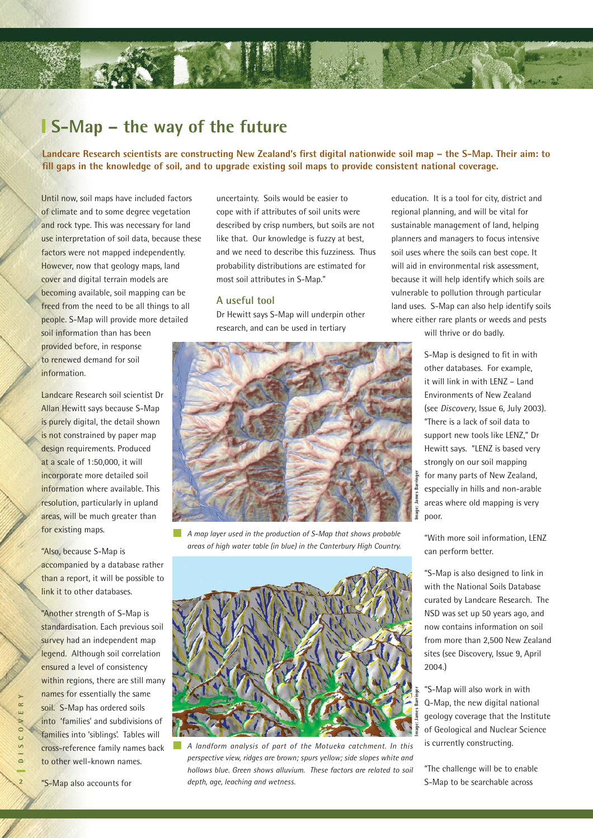### **S-Map – the way of the future**

**Landcare Research scientists are constructing New Zealand's first digital nationwide soil map – the S-Map. Their aim: to** fill gaps in the knowledge of soil, and to upgrade existing soil maps to provide consistent national coverage.

Until now, soil maps have included factors of climate and to some degree vegetation and rock type. This was necessary for land use interpretation of soil data, because these factors were not mapped independently. However, now that geology maps, land cover and digital terrain models are becoming available, soil mapping can be freed from the need to be all things to all people. S-Map will provide more detailed

soil information than has been provided before, in response to renewed demand for soil information.

Landcare Research soil scientist Dr Allan Hewitt says because S-Map is purely digital, the detail shown is not constrained by paper map design requirements. Produced at a scale of 1:50,000, it will incorporate more detailed soil information where available. This resolution, particularly in upland areas, will be much greater than for existing maps.

"Also, because S-Map is accompanied by a database rather than a report, it will be possible to link it to other databases.

"Another strength of S-Map is standardisation. Each previous soil survey had an independent map legend. Although soil correlation ensured a level of consistency within regions, there are still many names for essentially the same soil. S-Map has ordered soils into 'families' and subdivisions of families into 'siblings'. Tables will cross-reference family names back to other well-known names.

uncertainty. Soils would be easier to cope with if attributes of soil units were described by crisp numbers, but soils are not like that. Our knowledge is fuzzy at best, and we need to describe this fuzziness. Thus probability distributions are estimated for most soil attributes in S-Map."

### **A useful tool**

Dr Hewitt says S-Map will underpin other research, and can be used in tertiary



**The Contract of the Contract of the Contract of the Contract of the Contract of the Contract of the Contract o** *A map layer used in the production of S-Map that shows probable areas of high water table (in blue) in the Canterbury High Country.* 



*A landform analysis of part of the Motueka catchment. In this perspective view, ridges are brown; spurs yellow; side slopes white and hollows blue. Green shows alluvium. These factors are related to soil depth, age, leaching and wetness.* 

education. It is a tool for city, district and regional planning, and will be vital for sustainable management of land, helping planners and managers to focus intensive soil uses where the soils can best cope. It will aid in environmental risk assessment, because it will help identify which soils are vulnerable to pollution through particular land uses. S-Map can also help identify soils where either rare plants or weeds and pests

will thrive or do badly.

S-Map is designed to fit in with other databases. For example, it will link in with LENZ – Land Environments of New Zealand (see *Discovery*, Issue 6, July 2003). "There is a lack of soil data to support new tools like LENZ," Dr Hewitt says. "LENZ is based very strongly on our soil mapping for many parts of New Zealand, especially in hills and non-arable areas where old mapping is very poor.

"With more soil information, LENZ can perform better.

"S-Map is also designed to link in with the National Soils Database curated by Landcare Research. The NSD was set up 50 years ago, and now contains information on soil from more than 2,500 New Zealand sites (see Discovery, Issue 9, April 2004.)

"S-Map will also work in with Q-Map, the new digital national geology coverage that the Institute of Geological and Nuclear Science is currently constructing.

"The challenge will be to enable S-Map to be searchable across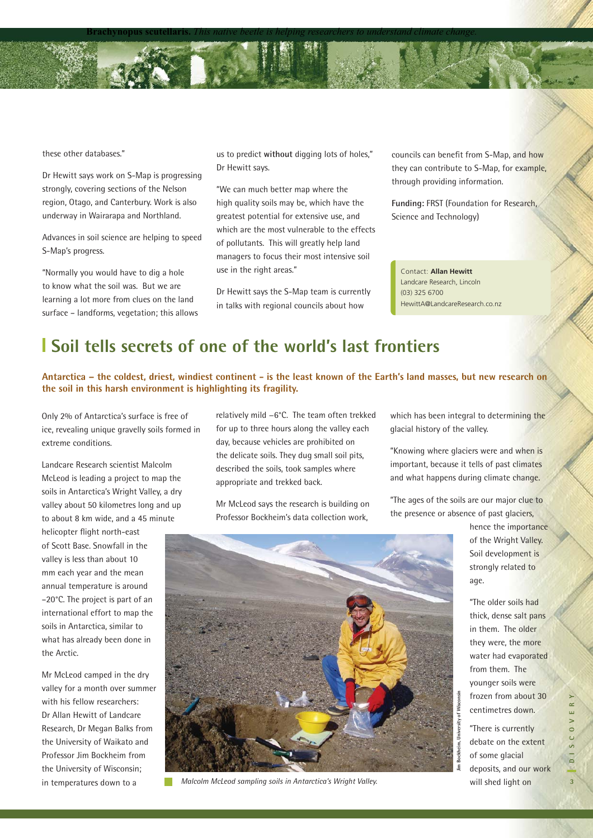these other databases."

Dr Hewitt says work on S-Map is progressing strongly, covering sections of the Nelson region, Otago, and Canterbury. Work is also underway in Wairarapa and Northland.

Advances in soil science are helping to speed S-Map's progress.

"Normally you would have to dig a hole to know what the soil was. But we are learning a lot more from clues on the land surface – landforms, vegetation; this allows us to predict **without** digging lots of holes," Dr Hewitt says.

**Brachynopus scutellaris.** *This native beetle is helping researchers to understand climate change.*

"We can much better map where the high quality soils may be, which have the greatest potential for extensive use, and which are the most vulnerable to the effects of pollutants. This will greatly help land managers to focus their most intensive soil use in the right areas."

Dr Hewitt says the S-Map team is currently in talks with regional councils about how

councils can benefit from S-Map, and how they can contribute to S-Map, for example, through providing information.

**Funding:** FRST (Foundation for Research, Science and Technology)

Contact: **Alian Rewitt** Landcare Research, Lincoln (03) 325 6700 EasonC@LandcareResearch.co.nz HewittA@LandcareResearch.co.nz Contact: **Allan Hewitt**

### **Soil tells secrets of one of the world's last frontiers**

**Antarctica – the coldest, driest, windiest continent - is the least known of the Earth's land masses, but new research on the soil in this harsh environment is highlighting its fragility.** 

Only 2% of Antarctica's surface is free of ice, revealing unique gravelly soils formed in extreme conditions.

Landcare Research scientist Malcolm McLeod is leading a project to map the soils in Antarctica's Wright Valley, a dry valley about 50 kilometres long and up to about 8 km wide, and a 45 minute

helicopter flight north-east of Scott Base. Snowfall in the valley is less than about 10 mm each year and the mean annual temperature is around –20°C. The project is part of an international effort to map the soils in Antarctica, similar to what has already been done in the Arctic.

Mr McLeod camped in the dry valley for a month over summer with his fellow researchers: Dr Allan Hewitt of Landcare Research, Dr Megan Balks from the University of Waikato and Professor Jim Bockheim from the University of Wisconsin; in temperatures down to a

relatively mild −6°C. The team often trekked for up to three hours along the valley each day, because vehicles are prohibited on the delicate soils. They dug small soil pits, described the soils, took samples where appropriate and trekked back.

Mr McLeod says the research is building on Professor Bockheim's data collection work,

which has been integral to determining the glacial history of the valley.

"Knowing where glaciers were and when is important, because it tells of past climates and what happens during climate change.

"The ages of the soils are our major clue to the presence or absence of past glaciers,

**Jim Bockheim, University of Wisconsin**



*Malcolm McLeod sampling soils in Antarctica's Wright Valley.* 

hence the importance of the Wright Valley. Soil development is strongly related to age.

"The older soils had thick, dense salt pans in them. The older they were, the more water had evaporated from them. The younger soils were frozen from about 30 centimetres down.

"There is currently debate on the extent of some glacial deposits, and our work will shed light on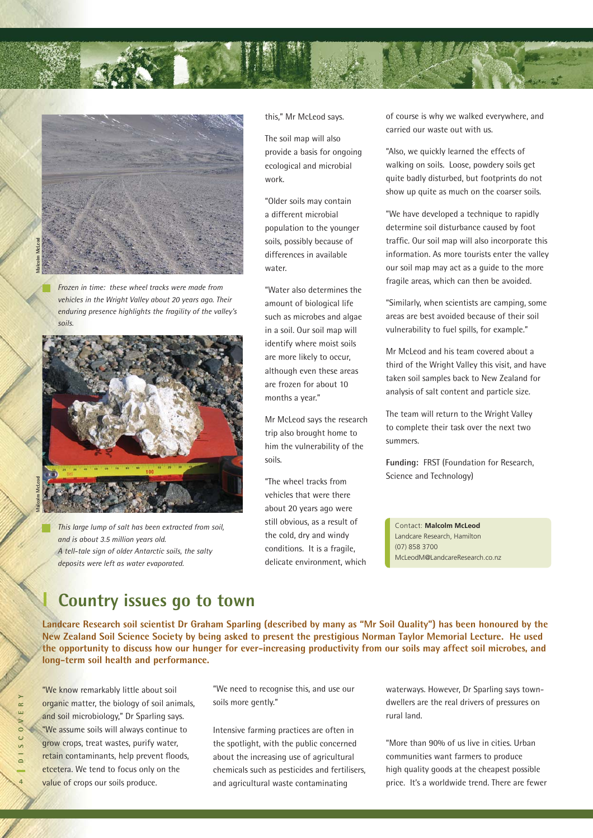



*Frozen in time: these wheel tracks were made from vehicles in the Wright Valley about 20 years ago. Their enduring presence highlights the fragility of the valley's soils.*



*This large lump of salt has been extracted from soil, and is about 3.5 million years old. A tell-tale sign of older Antarctic soils, the salty deposits were left as water evaporated.* 

this," Mr McLeod says.

The soil map will also provide a basis for ongoing ecological and microbial work.

"Older soils may contain a different microbial population to the younger soils, possibly because of differences in available water.

"Water also determines the amount of biological life such as microbes and algae in a soil. Our soil map will identify where moist soils are more likely to occur, although even these areas are frozen for about 10 months a year."

Mr McLeod says the research trip also brought home to him the vulnerability of the soils.

"The wheel tracks from vehicles that were there about 20 years ago were still obvious, as a result of the cold, dry and windy conditions. It is a fragile, delicate environment, which of course is why we walked everywhere, and carried our waste out with us.

"Also, we quickly learned the effects of walking on soils. Loose, powdery soils get quite badly disturbed, but footprints do not show up quite as much on the coarser soils.

"We have developed a technique to rapidly determine soil disturbance caused by foot traffic. Our soil map will also incorporate this information. As more tourists enter the valley our soil map may act as a guide to the more fragile areas, which can then be avoided.

"Similarly, when scientists are camping, some areas are best avoided because of their soil vulnerability to fuel spills, for example."

Mr McLeod and his team covered about a third of the Wright Valley this visit, and have taken soil samples back to New Zealand for analysis of salt content and particle size.

The team will return to the Wright Valley to complete their task over the next two summers.

**Funding:** FRST (Foundation for Research, Science and Technology)

Contact: **Malcolm McLeod** Landcare Research, Hamilton (07) 858 3700 McLeodM@LandcareResearch.co.nz

### **Country issues go to town**

**Landcare Research soil scientist Dr Graham Sparling (described by many as "Mr Soil Quality") has been honoured by the New Zealand Soil Science Society by being asked to present the prestigious Norman Taylor Memorial Lecture. He used the opportunity to discuss how our hunger for ever-increasing productivity from our soils may affect soil microbes, and long-term soil health and performance.** 

"We know remarkably little about soil organic matter, the biology of soil animals, and soil microbiology," Dr Sparling says. "We assume soils will always continue to grow crops, treat wastes, purify water, retain contaminants, help prevent floods, etcetera. We tend to focus only on the value of crops our soils produce.

"We need to recognise this, and use our soils more gently."

Intensive farming practices are often in the spotlight, with the public concerned about the increasing use of agricultural chemicals such as pesticides and fertilisers, and agricultural waste contaminating

waterways. However, Dr Sparling says towndwellers are the real drivers of pressures on rural land.

"More than 90% of us live in cities. Urban communities want farmers to produce high quality goods at the cheapest possible price. It's a worldwide trend. There are fewer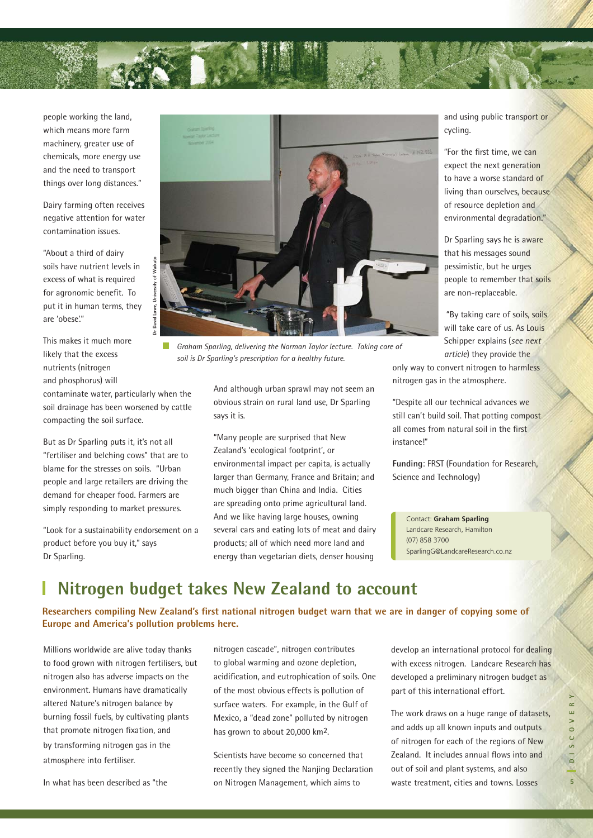

people working the land, which means more farm machinery, greater use of chemicals, more energy use and the need to transport things over long distances."

Dairy farming often receives negative attention for water contamination issues.

"About a third of dairy soils have nutrient levels in excess of what is required for agronomic benefit. To put it in human terms, they are 'obese'."

This makes it much more likely that the excess nutrients (nitrogen and phosphorus) will

contaminate water, particularly when the soil drainage has been worsened by cattle compacting the soil surface.

П

But as Dr Sparling puts it, it's not all "fertiliser and belching cows" that are to blame for the stresses on soils. "Urban people and large retailers are driving the demand for cheaper food. Farmers are simply responding to market pressures.

"Look for a sustainability endorsement on a product before you buy it," says Dr Sparling.



*Graham Sparling, delivering the Norman Taylor lecture. Taking care of soil is Dr Sparling's prescription for a healthy future.* 

And although urban sprawl may not seem an obvious strain on rural land use, Dr Sparling says it is.

"Many people are surprised that New Zealand's 'ecological footprint', or environmental impact per capita, is actually larger than Germany, France and Britain; and much bigger than China and India. Cities are spreading onto prime agricultural land. And we like having large houses, owning several cars and eating lots of meat and dairy products; all of which need more land and energy than vegetarian diets, denser housing

and using public transport or cycling.

"For the first time, we can expect the next generation to have a worse standard of living than ourselves, because of resource depletion and environmental degradation."

Dr Sparling says he is aware that his messages sound pessimistic, but he urges people to remember that soils are non-replaceable.

 "By taking care of soils, soils will take care of us. As Louis Schipper explains (*see next article*) they provide the

only way to convert nitrogen to harmless nitrogen gas in the atmosphere.

"Despite all our technical advances we still can't build soil. That potting compost all comes from natural soil in the first instance!"

**Funding**: FRST (Foundation for Research, Science and Technology)

Contact: **Graham Sparling** Landcare Research, Hamilton (07) 858 3700 SparlingG@LandcareResearch.co.nz

### **Nitrogen budget takes New Zealand to account**

Researchers compiling New Zealand's first national nitrogen budget warn that we are in danger of copying some of **Europe and America's pollution problems here.** 

Millions worldwide are alive today thanks to food grown with nitrogen fertilisers, but nitrogen also has adverse impacts on the environment. Humans have dramatically altered Nature's nitrogen balance by burning fossil fuels, by cultivating plants that promote nitrogen fixation, and by transforming nitrogen gas in the atmosphere into fertiliser.

In what has been described as "the

nitrogen cascade", nitrogen contributes to global warming and ozone depletion, acidification, and eutrophication of soils. One of the most obvious effects is pollution of surface waters. For example, in the Gulf of Mexico, a "dead zone" polluted by nitrogen has grown to about 20,000 km2.

Scientists have become so concerned that recently they signed the Nanjing Declaration on Nitrogen Management, which aims to

develop an international protocol for dealing with excess nitrogen. Landcare Research has developed a preliminary nitrogen budget as part of this international effort.

The work draws on a huge range of datasets, and adds up all known inputs and outputs of nitrogen for each of the regions of New Zealand. It includes annual flows into and out of soil and plant systems, and also waste treatment, cities and towns. Losses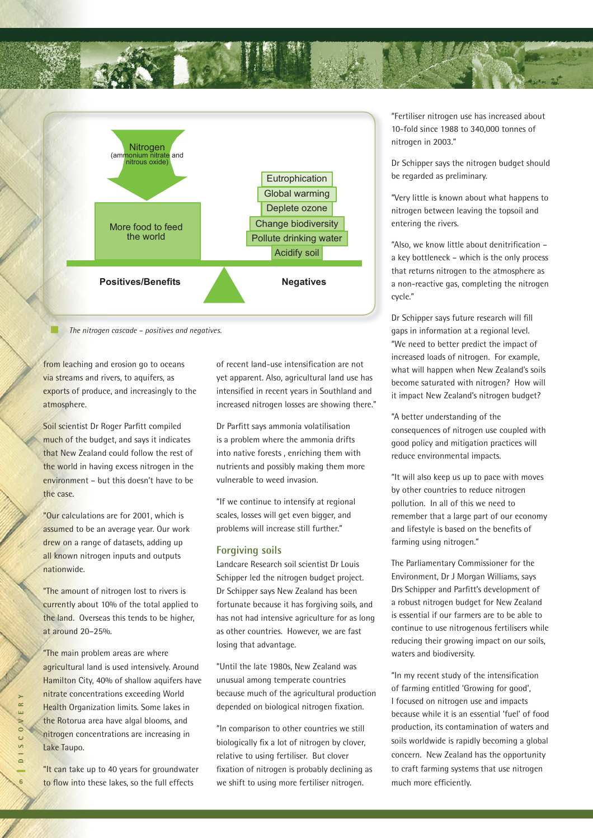



*The nitrogen cascade – positives and negatives.*

from leaching and erosion go to oceans via streams and rivers, to aquifers, as exports of produce, and increasingly to the atmosphere.

Soil scientist Dr Roger Parfitt compiled much of the budget, and says it indicates that New Zealand could follow the rest of the world in having excess nitrogen in the environment – but this doesn't have to be the case.

"Our calculations are for 2001, which is assumed to be an average year. Our work drew on a range of datasets, adding up all known nitrogen inputs and outputs nationwide.

"The amount of nitrogen lost to rivers is currently about 10% of the total applied to the land. Overseas this tends to be higher, at around 20–25%.

"The main problem areas are where agricultural land is used intensively. Around Hamilton City, 40% of shallow aquifers have nitrate concentrations exceeding World Health Organization limits. Some lakes in the Rotorua area have algal blooms, and nitrogen concentrations are increasing in Lake Taupo.

"It can take up to 40 years for groundwater to flow into these lakes, so the full effects

of recent land-use intensification are not yet apparent. Also, agricultural land use has intensified in recent years in Southland and increased nitrogen losses are showing there."

Dr Parfitt says ammonia volatilisation is a problem where the ammonia drifts into native forests , enriching them with nutrients and possibly making them more vulnerable to weed invasion.

"If we continue to intensify at regional scales, losses will get even bigger, and problems will increase still further."

#### **Forgiving soils**

Landcare Research soil scientist Dr Louis Schipper led the nitrogen budget project. Dr Schipper says New Zealand has been fortunate because it has forgiving soils, and has not had intensive agriculture for as long as other countries. However, we are fast losing that advantage.

"Until the late 1980s, New Zealand was unusual among temperate countries because much of the agricultural production depended on biological nitrogen fixation.

"In comparison to other countries we still biologically fix a lot of nitrogen by clover, relative to using fertiliser. But clover fixation of nitrogen is probably declining as we shift to using more fertiliser nitrogen.

"Fertiliser nitrogen use has increased about 10-fold since 1988 to 340,000 tonnes of nitrogen in 2003."

Dr Schipper says the nitrogen budget should be regarded as preliminary.

"Very little is known about what happens to nitrogen between leaving the topsoil and entering the rivers.

"Also, we know little about denitrification a key bottleneck – which is the only process that returns nitrogen to the atmosphere as a non-reactive gas, completing the nitrogen cycle."

Dr Schipper says future research will fill gaps in information at a regional level. "We need to better predict the impact of increased loads of nitrogen. For example, what will happen when New Zealand's soils become saturated with nitrogen? How will it impact New Zealand's nitrogen budget?

"A better understanding of the consequences of nitrogen use coupled with good policy and mitigation practices will reduce environmental impacts.

"It will also keep us up to pace with moves by other countries to reduce nitrogen pollution. In all of this we need to remember that a large part of our economy and lifestyle is based on the benefits of farming using nitrogen."

The Parliamentary Commissioner for the Environment, Dr J Morgan Williams, says Drs Schipper and Parfitt's development of a robust nitrogen budget for New Zealand is essential if our farmers are to be able to continue to use nitrogenous fertilisers while reducing their growing impact on our soils, waters and biodiversity.

"In my recent study of the intensification of farming entitled 'Growing for good', I focused on nitrogen use and impacts because while it is an essential 'fuel' of food production, its contamination of waters and soils worldwide is rapidly becoming a global concern. New Zealand has the opportunity to craft farming systems that use nitrogen much more efficiently.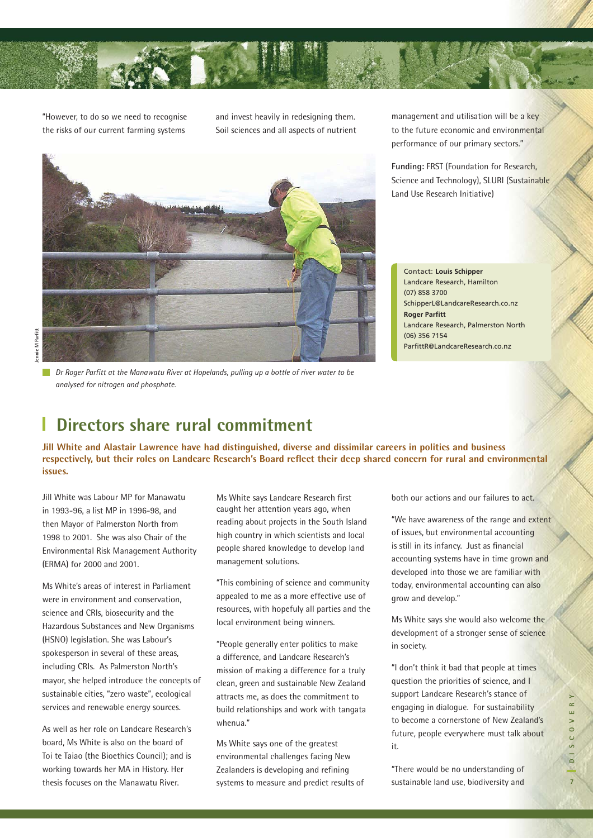

"However, to do so we need to recognise the risks of our current farming systems

and invest heavily in redesigning them. Soil sciences and all aspects of nutrient

**Dr Roger Parfitt at the Manawatu River at Hopelands, pulling up a bottle of river water to be** *analysed for nitrogen and phosphate.* 

management and utilisation will be a key to the future economic and environmental performance of our primary sectors."

**Funding:** FRST (Foundation for Research, Science and Technology), SLURI (Sustainable Land Use Research Initiative)

Contact: **Louis Schipper** Landcare Research, Hamilton (07) 858 3700 SchipperL@LandcareResearch.co.nz **Roger Parfitt** Landcare Research, Palmerston North (06) 356 7154 ParfittR@LandcareResearch.co.nz

### **Directors share rural commitment**

**Jill White and Alastair Lawrence have had distinguished, diverse and dissimilar careers in politics and business**  respectively, but their roles on Landcare Research's Board reflect their deep shared concern for rural and environmental **issues.**

Jill White was Labour MP for Manawatu in 1993-96, a list MP in 1996-98, and then Mayor of Palmerston North from 1998 to 2001. She was also Chair of the Environmental Risk Management Authority (ERMA) for 2000 and 2001.

Ms White's areas of interest in Parliament were in environment and conservation, science and CRIs, biosecurity and the Hazardous Substances and New Organisms (HSNO) legislation. She was Labour's spokesperson in several of these areas, including CRIs. As Palmerston North's mayor, she helped introduce the concepts of sustainable cities, "zero waste", ecological services and renewable energy sources.

As well as her role on Landcare Research's board, Ms White is also on the board of Toi te Taiao (the Bioethics Council); and is working towards her MA in History. Her thesis focuses on the Manawatu River.

Ms White says Landcare Research first caught her attention years ago, when reading about projects in the South Island high country in which scientists and local people shared knowledge to develop land management solutions.

"This combining of science and community appealed to me as a more effective use of resources, with hopefuly all parties and the local environment being winners.

"People generally enter politics to make a difference, and Landcare Research's mission of making a difference for a truly clean, green and sustainable New Zealand attracts me, as does the commitment to build relationships and work with tangata whenua."

Ms White says one of the greatest environmental challenges facing New Zealanders is developing and refining systems to measure and predict results of both our actions and our failures to act.

"We have awareness of the range and extent of issues, but environmental accounting is still in its infancy. Just as financial accounting systems have in time grown and developed into those we are familiar with today, environmental accounting can also grow and develop."

Ms White says she would also welcome the development of a stronger sense of science in society.

"I don't think it bad that people at times question the priorities of science, and I support Landcare Research's stance of engaging in dialogue. For sustainability to become a cornerstone of New Zealand's future, people everywhere must talk about it.

"There would be no understanding of sustainable land use, biodiversity and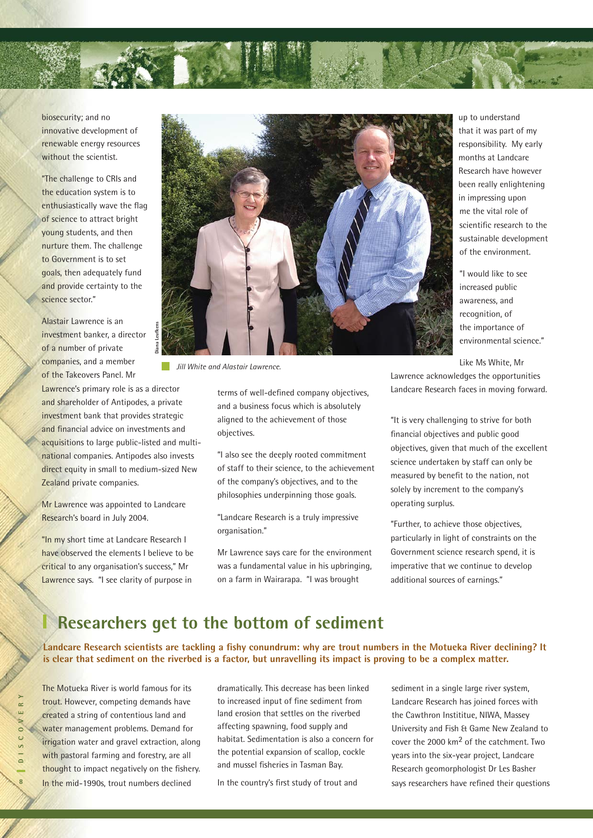

biosecurity; and no innovative development of renewable energy resources without the scientist.

"The challenge to CRIs and the education system is to enthusiastically wave the flag of science to attract bright young students, and then nurture them. The challenge to Government is to set goals, then adequately fund and provide certainty to the science sector."

Alastair Lawrence is an investment banker, a director of a number of private companies, and a member of the Takeovers Panel. Mr

Lawrence's primary role is as a director and shareholder of Antipodes, a private investment bank that provides strategic and financial advice on investments and acquisitions to large public-listed and multinational companies. Antipodes also invests direct equity in small to medium-sized New Zealand private companies.

Mr Lawrence was appointed to Landcare Research's board in July 2004.

"In my short time at Landcare Research I have observed the elements I believe to be critical to any organisation's success," Mr Lawrence says. "I see clarity of purpose in



*Jill White and Alastair Lawrence.*

terms of well-defined company objectives, and a business focus which is absolutely aligned to the achievement of those objectives.

"I also see the deeply rooted commitment of staff to their science, to the achievement of the company's objectives, and to the philosophies underpinning those goals.

"Landcare Research is a truly impressive organisation."

Mr Lawrence says care for the environment was a fundamental value in his upbringing, on a farm in Wairarapa. "I was brought

up to understand that it was part of my responsibility. My early months at Landcare Research have however been really enlightening in impressing upon me the vital role of scientific research to the sustainable development of the environment.

"I would like to see increased public awareness, and recognition, of the importance of environmental science."

Like Ms White, Mr

Lawrence acknowledges the opportunities Landcare Research faces in moving forward.

"It is very challenging to strive for both financial objectives and public good objectives, given that much of the excellent science undertaken by staff can only be measured by benefit to the nation, not solely by increment to the company's operating surplus.

"Further, to achieve those objectives, particularly in light of constraints on the Government science research spend, it is imperative that we continue to develop additional sources of earnings."

### **Researchers get to the bottom of sediment**

Landcare Research scientists are tackling a fishy conundrum: why are trout numbers in the Motueka River declining? It **is clear that sediment on the riverbed is a factor, but unravelling its impact is proving to be a complex matter.** 

**8DISCOVERY**  $\approx$  $\overline{0}$ S C  $\overline{a}$ 

The Motueka River is world famous for its trout. However, competing demands have created a string of contentious land and water management problems. Demand for irrigation water and gravel extraction, along with pastoral farming and forestry, are all thought to impact negatively on the fishery. In the mid-1990s, trout numbers declined

dramatically. This decrease has been linked to increased input of fine sediment from land erosion that settles on the riverbed affecting spawning, food supply and habitat. Sedimentation is also a concern for the potential expansion of scallop, cockle and mussel fisheries in Tasman Bay.

In the country's first study of trout and

sediment in a single large river system, Landcare Research has joined forces with the Cawthron Instititue, NIWA, Massey University and Fish & Game New Zealand to cover the 2000 km2 of the catchment. Two years into the six-year project, Landcare Research geomorphologist Dr Les Basher says researchers have refined their questions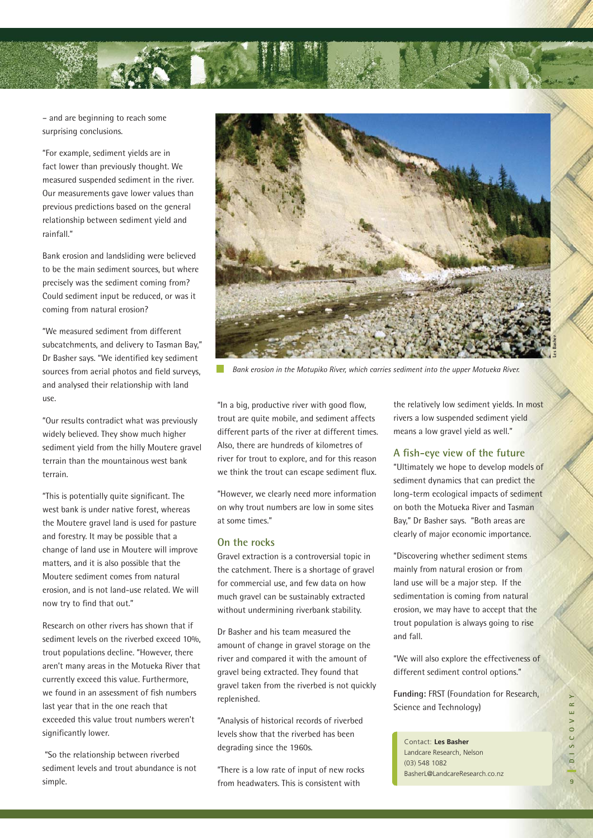

– and are beginning to reach some surprising conclusions.

"For example, sediment yields are in fact lower than previously thought. We measured suspended sediment in the river. Our measurements gave lower values than previous predictions based on the general relationship between sediment yield and rainfall."

Bank erosion and landsliding were believed to be the main sediment sources, but where precisely was the sediment coming from? Could sediment input be reduced, or was it coming from natural erosion?

"We measured sediment from different subcatchments, and delivery to Tasman Bay," Dr Basher says. "We identified key sediment sources from aerial photos and field surveys, and analysed their relationship with land use.

"Our results contradict what was previously widely believed. They show much higher sediment yield from the hilly Moutere gravel terrain than the mountainous west bank terrain.

"This is potentially quite significant. The west bank is under native forest, whereas the Moutere gravel land is used for pasture and forestry. It may be possible that a change of land use in Moutere will improve matters, and it is also possible that the Moutere sediment comes from natural erosion, and is not land-use related. We will now try to find that out."

Research on other rivers has shown that if sediment levels on the riverbed exceed 10%, trout populations decline. "However, there aren't many areas in the Motueka River that currently exceed this value. Furthermore, we found in an assessment of fish numbers last year that in the one reach that exceeded this value trout numbers weren't significantly lower.

 "So the relationship between riverbed sediment levels and trout abundance is not simple.



*Bank erosion in the Motupiko River, which carries sediment into the upper Motueka River.*

"In a big, productive river with good flow, trout are quite mobile, and sediment affects different parts of the river at different times. Also, there are hundreds of kilometres of river for trout to explore, and for this reason we think the trout can escape sediment flux.

"However, we clearly need more information on why trout numbers are low in some sites at some times."

#### **On the rocks**

Gravel extraction is a controversial topic in the catchment. There is a shortage of gravel for commercial use, and few data on how much gravel can be sustainably extracted without undermining riverbank stability.

Dr Basher and his team measured the amount of change in gravel storage on the river and compared it with the amount of gravel being extracted. They found that gravel taken from the riverbed is not quickly replenished.

"Analysis of historical records of riverbed levels show that the riverbed has been degrading since the 1960s.

"There is a low rate of input of new rocks from headwaters. This is consistent with

the relatively low sediment yields. In most rivers a low suspended sediment yield means a low gravel yield as well."

#### **A fi sh-eye view of the future**

"Ultimately we hope to develop models of sediment dynamics that can predict the long-term ecological impacts of sediment on both the Motueka River and Tasman Bay," Dr Basher says. "Both areas are clearly of major economic importance.

"Discovering whether sediment stems mainly from natural erosion or from land use will be a major step. If the sedimentation is coming from natural erosion, we may have to accept that the trout population is always going to rise and fall.

"We will also explore the effectiveness of different sediment control options."

**Funding:** FRST (Foundation for Research, Science and Technology)

Contact: **Les Basher** Landcare Research, Nelson (03) 548 1082 BasherL@LandcareResearch.co.nz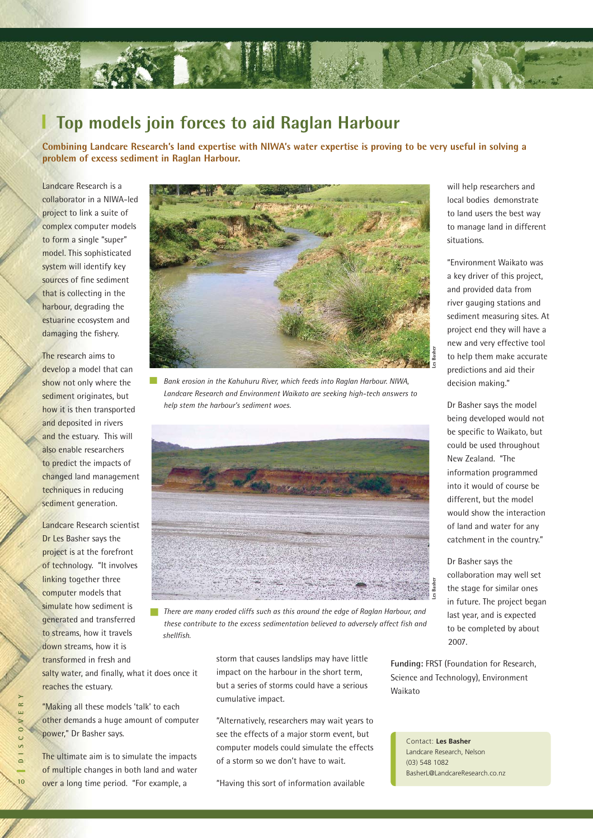

#### I. **Top models join forces to aid Raglan Harbour**

**Combining Landcare Research's land expertise with NIWA's water expertise is proving to be very useful in solving a problem of excess sediment in Raglan Harbour.**

Landcare Research is a collaborator in a NIWA-led project to link a suite of complex computer models to form a single "super" model. This sophisticated system will identify key sources of fine sediment that is collecting in the harbour, degrading the estuarine ecosystem and damaging the fishery.

The research aims to develop a model that can show not only where the sediment originates, but how it is then transported and deposited in rivers and the estuary. This will also enable researchers to predict the impacts of changed land management techniques in reducing sediment generation.

Landcare Research scientist Dr Les Basher says the project is at the forefront of technology. "It involves linking together three computer models that simulate how sediment is generated and transferred to streams, how it travels down streams, how it is transformed in fresh and

salty water, and finally, what it does once it reaches the estuary.

"Making all these models 'talk' to each other demands a huge amount of computer power," Dr Basher says.

The ultimate aim is to simulate the impacts of multiple changes in both land and water over a long time period. "For example, a



*Bank erosion in the Kahuhuru River, which feeds into Raglan Harbour. NIWA, Landcare Research and Environment Waikato are seeking high-tech answers to help stem the harbour's sediment woes.*



*There are many eroded cliffs such as this around the edge of Raglan Harbour, and these contribute to the excess sedimentation believed to adversely affect fish and shellfi sh.* 

storm that causes landslips may have little impact on the harbour in the short term, but a series of storms could have a serious cumulative impact.

"Alternatively, researchers may wait years to see the effects of a major storm event, but computer models could simulate the effects of a storm so we don't have to wait.

"Having this sort of information available

will help researchers and local bodies demonstrate to land users the best way to manage land in different situations.

"Environment Waikato was a key driver of this project, and provided data from river gauging stations and sediment measuring sites. At project end they will have a new and very effective tool to help them make accurate predictions and aid their decision making."

Dr Basher says the model being developed would not be specific to Waikato, but could be used throughout New Zealand. "The information programmed into it would of course be different, but the model would show the interaction of land and water for any catchment in the country."

Dr Basher says the collaboration may well set the stage for similar ones in future. The project began last year, and is expected to be completed by about 2007.

**Funding:** FRST (Foundation for Research, Science and Technology), Environment Waikato

Contact: **Les Basher** Landcare Research, Nelson (03) 548 1082 BasherL@LandcareResearch.co.nz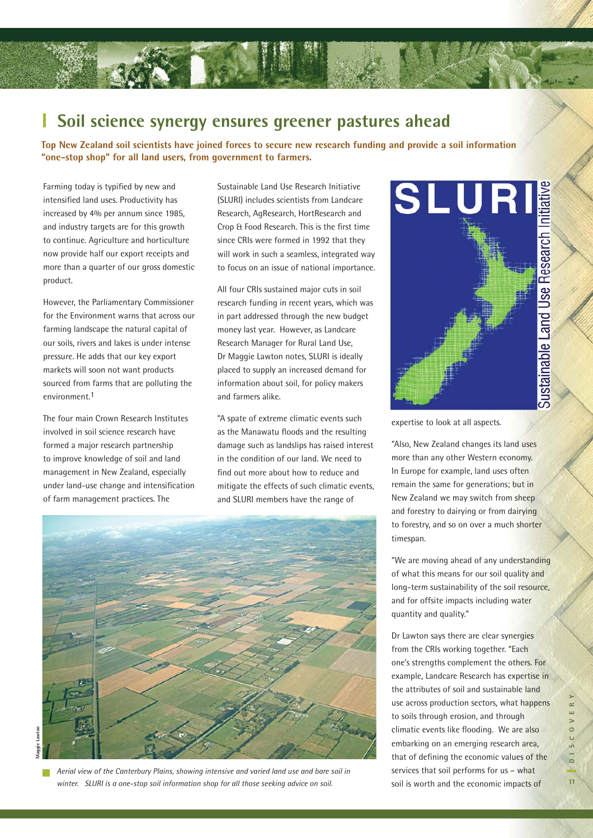#### ı **Soil science synergy ensures greener pastures ahead**

**Top New Zealand soil scientists have joined forces to secure new research funding and provide a soil information "one-stop shop" for all land users, from government to farmers.** 

Farming today is typified by new and intensified land uses. Productivity has increased by 4% per annum since 1985, and industry targets are for this growth to continue. Agriculture and horticulture now provide half our export receipts and more than a quarter of our gross domestic product.

However, the Parliamentary Commissioner for the Environment warns that across our farming landscape the natural capital of our soils, rivers and lakes is under intense pressure. He adds that our key export markets will soon not want products sourced from farms that are polluting the environment.1

The four main Crown Research Institutes involved in soil science research have formed a major research partnership to improve knowledge of soil and land management in New Zealand, especially under land-use change and intensification of farm management practices. The

Sustainable Land Use Research Initiative (SLURI) includes scientists from Landcare Research, AgResearch, HortResearch and Crop & Food Research. This is the first time since CRIs were formed in 1992 that they will work in such a seamless, integrated way to focus on an issue of national importance.

All four CRIs sustained major cuts in soil research funding in recent years, which was in part addressed through the new budget money last year. However, as Landcare Research Manager for Rural Land Use, Dr Maggie Lawton notes, SLURI is ideally placed to supply an increased demand for information about soil, for policy makers and farmers alike.

"A spate of extreme climatic events such as the Manawatu floods and the resulting damage such as landslips has raised interest in the condition of our land. We need to find out more about how to reduce and mitigate the effects of such climatic events, and SLURI members have the range of



**Maggie Lawton**awton **Aannie** 

*Aerial view of the Canterbury Plains, showing intensive and varied land use and bare soil in winter. SLURI is a one-stop soil information shop for all those seeking advice on soil.* 



expertise to look at all aspects.

"Also, New Zealand changes its land uses more than any other Western economy. In Europe for example, land uses often remain the same for generations; but in New Zealand we may switch from sheep and forestry to dairying or from dairying to forestry, and so on over a much shorter timespan.

"We are moving ahead of any understanding of what this means for our soil quality and long-term sustainability of the soil resource, and for offsite impacts including water quantity and quality."

Dr Lawton says there are clear synergies from the CRIs working together. "Each one's strengths complement the others. For example, Landcare Research has expertise in the attributes of soil and sustainable land use across production sectors, what happens to soils through erosion, and through climatic events like flooding. We are also embarking on an emerging research area, that of defining the economic values of the services that soil performs for us – what soil is worth and the economic impacts of